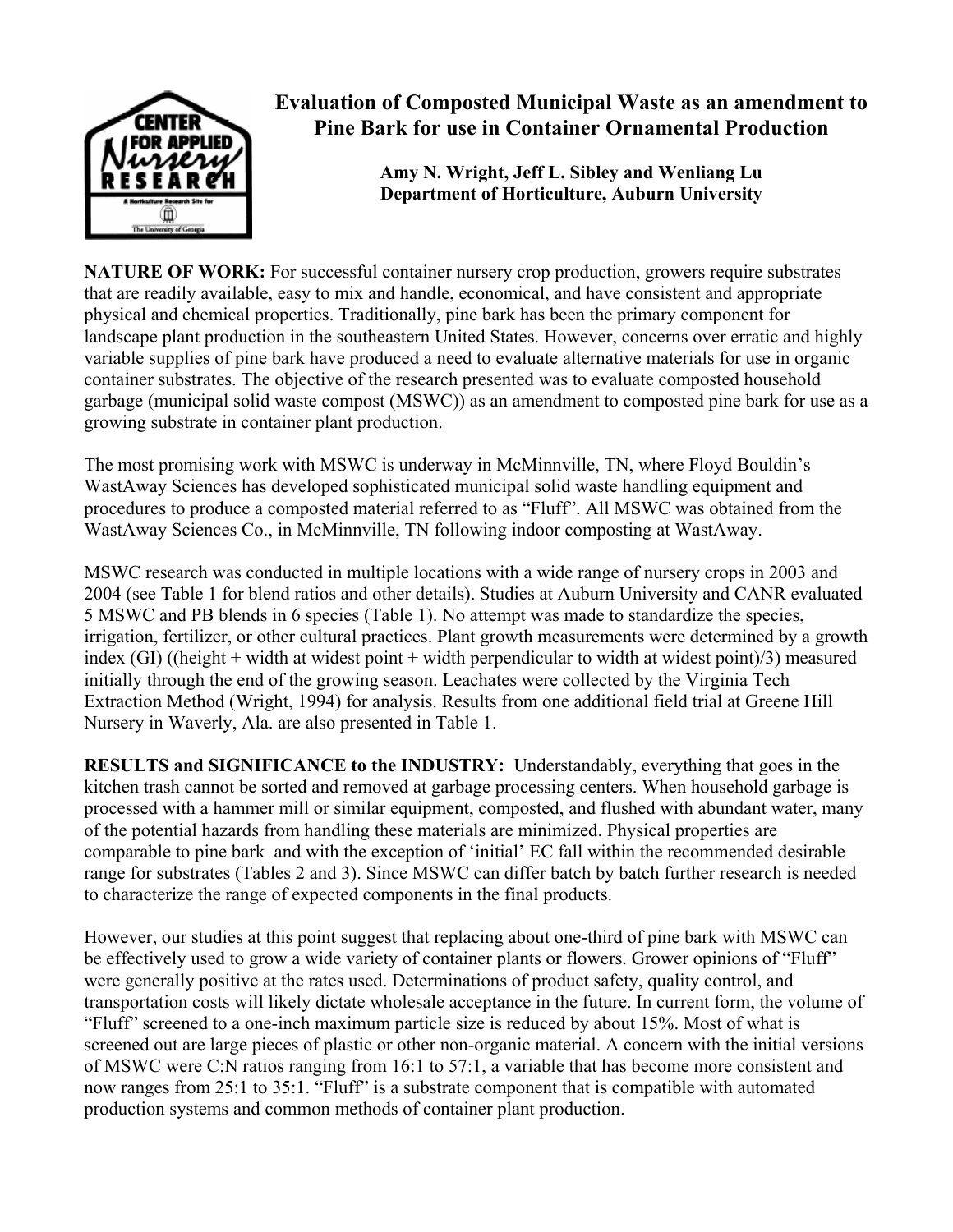

## **Evaluation of Composted Municipal Waste as an amendment to Pine Bark for use in Container Ornamental Production**

**Amy N. Wright, Jeff L. Sibley and Wenliang Lu Department of Horticulture, Auburn University** 

**NATURE OF WORK:** For successful container nursery crop production, growers require substrates that are readily available, easy to mix and handle, economical, and have consistent and appropriate physical and chemical properties. Traditionally, pine bark has been the primary component for landscape plant production in the southeastern United States. However, concerns over erratic and highly variable supplies of pine bark have produced a need to evaluate alternative materials for use in organic container substrates. The objective of the research presented was to evaluate composted household garbage (municipal solid waste compost (MSWC)) as an amendment to composted pine bark for use as a growing substrate in container plant production.

The most promising work with MSWC is underway in McMinnville, TN, where Floyd Bouldin's WastAway Sciences has developed sophisticated municipal solid waste handling equipment and procedures to produce a composted material referred to as "Fluff". All MSWC was obtained from the WastAway Sciences Co., in McMinnville, TN following indoor composting at WastAway.

MSWC research was conducted in multiple locations with a wide range of nursery crops in 2003 and 2004 (see Table 1 for blend ratios and other details). Studies at Auburn University and CANR evaluated 5 MSWC and PB blends in 6 species (Table 1). No attempt was made to standardize the species, irrigation, fertilizer, or other cultural practices. Plant growth measurements were determined by a growth index (GI) ((height + width at widest point + width perpendicular to width at widest point)/3) measured initially through the end of the growing season. Leachates were collected by the Virginia Tech Extraction Method (Wright, 1994) for analysis. Results from one additional field trial at Greene Hill Nursery in Waverly, Ala. are also presented in Table 1.

**RESULTS and SIGNIFICANCE to the INDUSTRY:** Understandably, everything that goes in the kitchen trash cannot be sorted and removed at garbage processing centers. When household garbage is processed with a hammer mill or similar equipment, composted, and flushed with abundant water, many of the potential hazards from handling these materials are minimized. Physical properties are comparable to pine bark and with the exception of 'initial' EC fall within the recommended desirable range for substrates (Tables 2 and 3). Since MSWC can differ batch by batch further research is needed to characterize the range of expected components in the final products.

However, our studies at this point suggest that replacing about one-third of pine bark with MSWC can be effectively used to grow a wide variety of container plants or flowers. Grower opinions of "Fluff" were generally positive at the rates used. Determinations of product safety, quality control, and transportation costs will likely dictate wholesale acceptance in the future. In current form, the volume of "Fluff" screened to a one-inch maximum particle size is reduced by about 15%. Most of what is screened out are large pieces of plastic or other non-organic material. A concern with the initial versions of MSWC were C:N ratios ranging from 16:1 to 57:1, a variable that has become more consistent and now ranges from 25:1 to 35:1. "Fluff" is a substrate component that is compatible with automated production systems and common methods of container plant production.